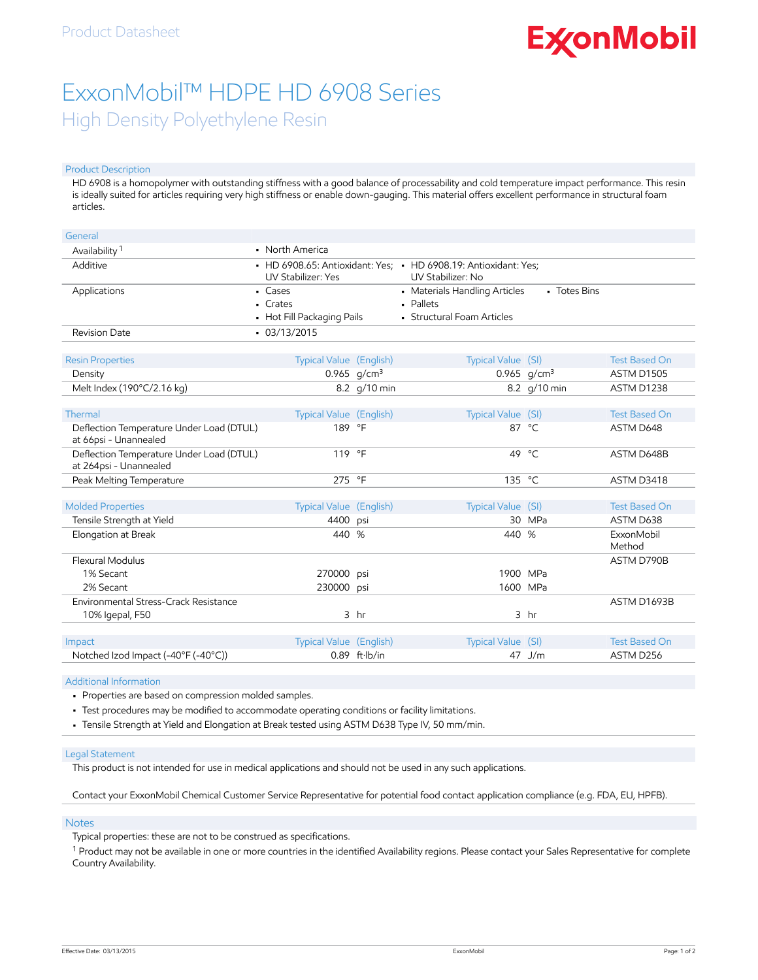# **ExconMobil**

## ExxonMobil™ HDPE HD 6908 Series High Density Polyethylene Resin

#### Product Description

HD 6908 is a homopolymer with outstanding stiffness with a good balance of processability and cold temperature impact performance. This resin is ideally suited for articles requiring very high stiffness or enable down-gauging. This material offers excellent performance in structural foam articles.

| General                                                            |                                                   |                         |                                                                                             |                 |                                           |
|--------------------------------------------------------------------|---------------------------------------------------|-------------------------|---------------------------------------------------------------------------------------------|-----------------|-------------------------------------------|
| Availability <sup>1</sup>                                          | • North America                                   |                         |                                                                                             |                 |                                           |
| Additive                                                           | <b>UV Stabilizer: Yes</b>                         |                         | • HD 6908.65: Antioxidant: Yes: • HD 6908.19: Antioxidant: Yes:<br><b>UV Stabilizer: No</b> |                 |                                           |
| Applications                                                       | • Cases<br>• Crates<br>• Hot Fill Packaging Pails |                         | • Materials Handling Articles<br>· Pallets<br>• Structural Foam Articles                    | • Totes Bins    |                                           |
| <b>Revision Date</b>                                               | $-03/13/2015$                                     |                         |                                                                                             |                 |                                           |
| <b>Resin Properties</b><br>Density                                 | Typical Value (English)                           | 0.965 $q/cm^3$          | Typical Value (SI)                                                                          | 0.965 $q/cm^3$  | <b>Test Based On</b><br><b>ASTM D1505</b> |
| Melt Index (190°C/2.16 kg)                                         |                                                   | 8.2 g/10 min            |                                                                                             | 8.2 g/10 min    | ASTM D1238                                |
| Thermal                                                            | Typical Value (English)                           |                         | Typical Value (SI)                                                                          |                 | <b>Test Based On</b>                      |
| Deflection Temperature Under Load (DTUL)<br>at 66psi - Unannealed  | 189 °F                                            |                         |                                                                                             | 87 °C           | ASTM D648                                 |
| Deflection Temperature Under Load (DTUL)<br>at 264psi - Unannealed | 119 °F                                            |                         | 49                                                                                          | °⊂              | ASTM D648B                                |
| Peak Melting Temperature                                           | 275 °F                                            |                         | 135 °C                                                                                      |                 | ASTM D3418                                |
| <b>Molded Properties</b><br>Tensile Strength at Yield              | Typical Value (English)<br>4400                   | psi                     | Typical Value (SI)                                                                          | 30 MPa          | <b>Test Based On</b><br>ASTM D638         |
| Elongation at Break                                                | 440                                               | %                       | 440 %                                                                                       |                 | ExxonMobil<br>Method                      |
| <b>Flexural Modulus</b>                                            |                                                   |                         |                                                                                             |                 | ASTM D790B                                |
| 1% Secant                                                          | 270000 psi                                        |                         | 1900 MPa                                                                                    |                 |                                           |
| 2% Secant                                                          | 230000 psi                                        |                         | 1600 MPa                                                                                    |                 |                                           |
| Environmental Stress-Crack Resistance                              |                                                   |                         |                                                                                             |                 | ASTM D1693B                               |
| 10% Igepal, F50                                                    |                                                   | 3 <sub>hr</sub>         |                                                                                             | 3 <sub>hr</sub> |                                           |
|                                                                    |                                                   |                         |                                                                                             |                 | <b>Test Based On</b>                      |
| Impact                                                             | <b>Typical Value (English)</b>                    |                         | Typical Value (SI)                                                                          |                 |                                           |
| Notched Izod Impact (-40°F (-40°C))                                |                                                   | $0.89$ ft $\cdot$ lb/in |                                                                                             | 47 J/m          | ASTM D256                                 |

#### Additional Information

• Properties are based on compression molded samples.

- Test procedures may be modified to accommodate operating conditions or facility limitations.
- Tensile Strength at Yield and Elongation at Break tested using ASTM D638 Type IV, 50 mm/min.

#### Legal Statement

This product is not intended for use in medical applications and should not be used in any such applications.

Contact your ExxonMobil Chemical Customer Service Representative for potential food contact application compliance (e.g. FDA, EU, HPFB).

#### Notes

Typical properties: these are not to be construed as specifications.

 $^1$  Product may not be available in one or more countries in the identified Availability regions. Please contact your Sales Representative for complete Country Availability.